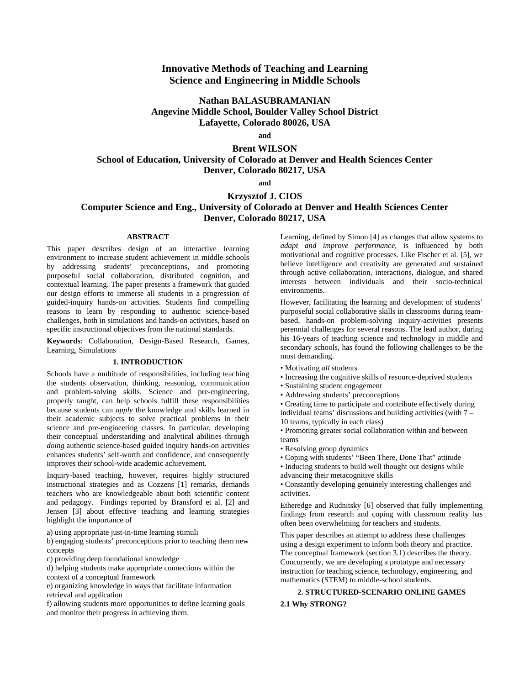## **Innovative Methods of Teaching and Learning Science and Engineering in Middle Schools**

## **Nathan BALASUBRAMANIAN Angevine Middle School, Boulder Valley School District Lafayette, Colorado 80026, USA**

**and** 

# **Brent WILSON School of Education, University of Colorado at Denver and Health Sciences Center Denver, Colorado 80217, USA**

**and** 

## **Krzysztof J. CIOS**

# **Computer Science and Eng., University of Colorado at Denver and Health Sciences Center Denver, Colorado 80217, USA**

### **ABSTRACT**

This paper describes design of an interactive learning environment to increase student achievement in middle schools by addressing students' preconceptions, and promoting purposeful social collaboration, distributed cognition, and contextual learning. The paper presents a framework that guided our design efforts to immerse all students in a progression of guided-inquiry hands-on activities. Students find compelling reasons to learn by responding to authentic science-based challenges, both in simulations and hands-on activities, based on specific instructional objectives from the national standards.

**Keywords**: Collaboration, Design-Based Research, Games, Learning, Simulations

### **1. INTRODUCTION**

Schools have a multitude of responsibilities, including teaching the students observation, thinking, reasoning, communication and problem-solving skills. Science and pre-engineering, properly taught, can help schools fulfill these responsibilities because students can *apply* the knowledge and skills learned in their academic subjects to solve practical problems in their science and pre-engineering classes. In particular, developing their conceptual understanding and analytical abilities through *doing* authentic science-based guided inquiry hands-on activities enhances students' self-worth and confidence, and consequently improves their school-wide academic achievement.

Inquiry-based teaching, however, requires highly structured instructional strategies and as Cozzens [1] remarks, demands teachers who are knowledgeable about both scientific content and pedagogy. Findings reported by Bransford et al. [2] and Jensen [3] about effective teaching and learning strategies highlight the importance of

a) using appropriate just-in-time learning stimuli

b) engaging students' preconceptions prior to teaching them new concepts

c) providing deep foundational knowledge

d) helping students make appropriate connections within the context of a conceptual framework

e) organizing knowledge in ways that facilitate information retrieval and application

f) allowing students more opportunities to define learning goals and monitor their progress in achieving them.

Learning, defined by Simon [4] as changes that allow systems to *adapt and improve performance*, is influenced by both motivational and cognitive processes. Like Fischer et al. [5], we believe intelligence and creativity are generated and sustained through active collaboration, interactions, dialogue, and shared interests between individuals and their socio-technical environments.

However, facilitating the learning and development of students' purposeful social collaborative skills in classrooms during teambased, hands-on problem-solving inquiry-activities presents perennial challenges for several reasons. The lead author, during his 16-years of teaching science and technology in middle and secondary schools, has found the following challenges to be the most demanding.

- Motivating *all* students
- Increasing the cognitive skills of resource-deprived students
- Sustaining student engagement
- Addressing students' preconceptions

• Creating time to participate and contribute effectively during individual teams' discussions and building activities (with 7 – 10 teams, typically in each class)

• Promoting greater social collaboration within and between teams

- Resolving group dynamics
- Coping with students' "Been There, Done That" attitude
- Inducing students to build well thought out designs while advancing their metacognitive skills

• Constantly developing genuinely interesting challenges and activities.

Etheredge and Rudnitsky [6] observed that fully implementing findings from research and coping with classroom reality has often been overwhelming for teachers and students.

This paper describes an attempt to address these challenges using a design experiment to inform both theory and practice. The conceptual framework (section 3.1) describes the theory. Concurrently, we are developing a prototype and necessary instruction for teaching science, technology, engineering, and mathematics (STEM) to middle-school students.

## **2. STRUCTURED-SCENARIO ONLINE GAMES 2.1 Why STRONG?**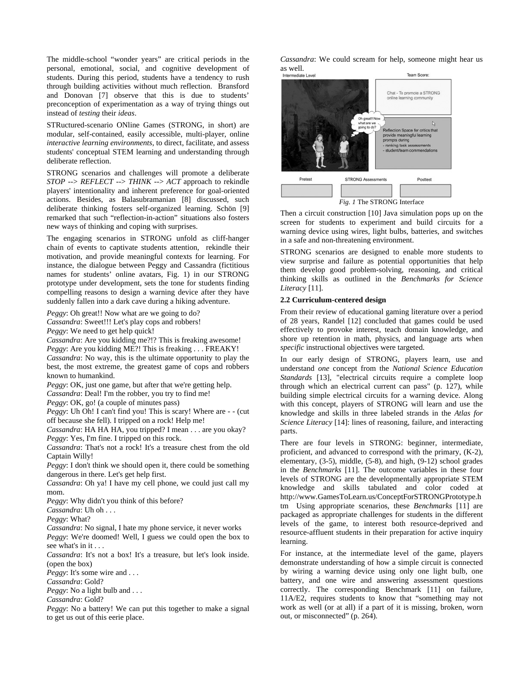The middle-school "wonder years" are critical periods in the personal, emotional, social, and cognitive development of students. During this period, students have a tendency to rush through building activities without much reflection. Bransford and Donovan [7] observe that this is due to students' preconception of experimentation as a way of trying things out instead of *testing* their *ideas*.

STRuctured-scenario ONline Games (STRONG, in short) are modular, self-contained, easily accessible, multi-player, online *interactive learning environments*, to direct, facilitate, and assess students' conceptual STEM learning and understanding through deliberate reflection.

STRONG scenarios and challenges will promote a deliberate *STOP* --> *REFLECT* --> *THINK* --> *ACT* approach to rekindle players' intentionality and inherent preference for goal-oriented actions. Besides, as Balasubramanian [8] discussed, such deliberate thinking fosters self-organized learning. Schön [9] remarked that such "reflection-in-action" situations also fosters new ways of thinking and coping with surprises.

The engaging scenarios in STRONG unfold as cliff-hanger chain of events to captivate students attention, rekindle their motivation, and provide meaningful contexts for learning. For instance, the dialogue between Peggy and Cassandra (fictitious names for students' online avatars, Fig. 1) in our STRONG prototype under development, sets the tone for students finding compelling reasons to design a warning device after they have suddenly fallen into a dark cave during a hiking adventure.

*Peggy*: Oh great!! Now what are we going to do?

*Cassandra*: Sweet!!! Let's play cops and robbers!

*Peggy*: We need to get help quick!

*Cassandra*: Are you kidding me?!? This is freaking awesome! *Peggy*: Are you kidding ME?! This is freaking . . . FREAKY! *Cassandra*: No way, this is the ultimate opportunity to play the best, the most extreme, the greatest game of cops and robbers known to humankind.

*Peggy*: OK, just one game, but after that we're getting help. *Cassandra*: Deal! I'm the robber, you try to find me!

*Peggy*: OK, go! (a couple of minutes pass)

*Peggy*: Uh Oh! I can't find you! This is scary! Where are - - (cut off because she fell). I tripped on a rock! Help me!

*Cassandra*: HA HA HA, you tripped? I mean . . . are you okay? *Peggy*: Yes, I'm fine. I tripped on this rock.

*Cassandra*: That's not a rock! It's a treasure chest from the old Captain Willy!

*Peggy*: I don't think we should open it, there could be something dangerous in there. Let's get help first.

*Cassandra*: Oh ya! I have my cell phone, we could just call my mom.

*Peggy*: Why didn't you think of this before?

*Cassandra*: Uh oh . . .

*Peggy*: What?

*Cassandra*: No signal, I hate my phone service, it never works *Peggy*: We're doomed! Well, I guess we could open the box to see what's in it . . .

*Cassandra*: It's not a box! It's a treasure, but let's look inside. (open the box)

*Peggy*: It's some wire and . . .

*Cassandra*: Gold?

*Peggy*: No a light bulb and . . .

*Cassandra*: Gold?

*Peggy*: No a battery! We can put this together to make a signal to get us out of this eerie place.

*Cassandra*: We could scream for help, someone might hear us as well.<br>Intermediate Leve Team Score



*Fig. 1* The STRONG Interface

Then a circuit construction [10] Java simulation pops up on the screen for students to experiment and build circuits for a warning device using wires, light bulbs, batteries, and switches in a safe and non-threatening environment.

STRONG scenarios are designed to enable more students to view surprise and failure as potential opportunities that help them develop good problem-solving, reasoning, and critical thinking skills as outlined in the *Benchmarks for Science Literacy* [11].

### **2.2 Curriculum-centered design**

From their review of educational gaming literature over a period of 28 years, Randel [12] concluded that games could be used effectively to provoke interest, teach domain knowledge, and shore up retention in math, physics, and language arts when *specific* instructional objectives were targeted.

In our early design of STRONG, players learn, use and understand *one* concept from the *National Science Education Standards* [13], "electrical circuits require a complete loop through which an electrical current can pass" (p. 127), while building simple electrical circuits for a warning device. Along with this concept, players of STRONG will learn and use the knowledge and skills in three labeled strands in the *Atlas for Science Literacy* [14]: lines of reasoning, failure, and interacting parts.

There are four levels in STRONG: beginner, intermediate, proficient, and advanced to correspond with the primary, (K-2), elementary, (3-5), middle, (5-8), and high, (9-12) school grades in the *Benchmarks* [11]. The outcome variables in these four levels of STRONG are the developmentally appropriate STEM knowledge and skills tabulated and color coded at http://www.GamesToLearn.us/ConceptForSTRONGPrototype.h tm Using appropriate scenarios, these *Benchmarks* [11] are packaged as appropriate challenges for students in the different levels of the game, to interest both resource-deprived and resource-affluent students in their preparation for active inquiry learning.

For instance, at the intermediate level of the game, players demonstrate understanding of how a simple circuit is connected by wiring a warning device using only one light bulb, one battery, and one wire and answering assessment questions correctly. The corresponding Benchmark [11] on failure, 11A/E2, requires students to know that "something may not work as well (or at all) if a part of it is missing, broken, worn out, or misconnected" (p. 264).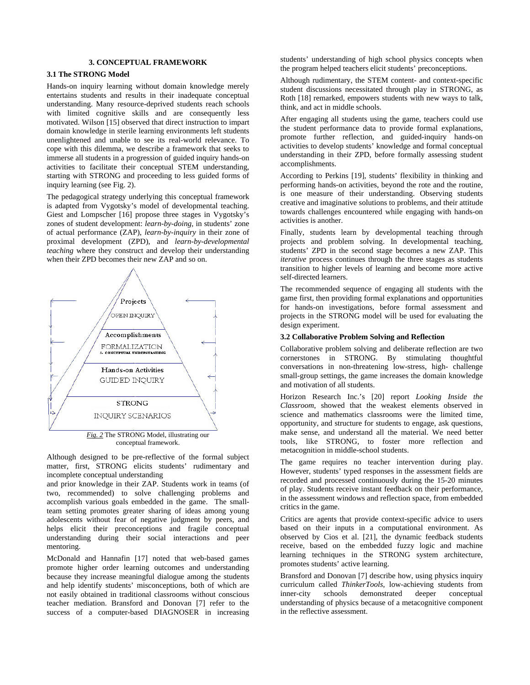### **3. CONCEPTUAL FRAMEWORK**

#### **3.1 The STRONG Model**

Hands-on inquiry learning without domain knowledge merely entertains students and results in their inadequate conceptual understanding. Many resource-deprived students reach schools with limited cognitive skills and are consequently less motivated. Wilson [15] observed that direct instruction to impart domain knowledge in sterile learning environments left students unenlightened and unable to see its real-world relevance. To cope with this dilemma, we describe a framework that seeks to immerse all students in a progression of guided inquiry hands-on activities to facilitate their conceptual STEM understanding, starting with STRONG and proceeding to less guided forms of inquiry learning (see Fig. 2).

The pedagogical strategy underlying this conceptual framework is adapted from Vygotsky's model of developmental teaching. Giest and Lompscher [16] propose three stages in Vygotsky's zones of student development: *learn-by-doing*, in students' zone of actual performance (ZAP), *learn-by-inquiry* in their zone of proximal development (ZPD), and *learn-by-developmental teaching* where they construct and develop their understanding when their ZPD becomes their new ZAP and so on.



conceptual framework.

Although designed to be pre-reflective of the formal subject matter, first, STRONG elicits students' rudimentary and incomplete conceptual understanding

and prior knowledge in their ZAP. Students work in teams (of two, recommended) to solve challenging problems and accomplish various goals embedded in the game. The smallteam setting promotes greater sharing of ideas among young adolescents without fear of negative judgment by peers, and helps elicit their preconceptions and fragile conceptual understanding during their social interactions and peer mentoring.

McDonald and Hannafin [17] noted that web-based games promote higher order learning outcomes and understanding because they increase meaningful dialogue among the students and help identify students' misconceptions, both of which are not easily obtained in traditional classrooms without conscious teacher mediation. Bransford and Donovan [7] refer to the success of a computer-based DIAGNOSER in increasing

students' understanding of high school physics concepts when the program helped teachers elicit students' preconceptions.

Although rudimentary, the STEM content- and context-specific student discussions necessitated through play in STRONG, as Roth [18] remarked, empowers students with new ways to talk, think, and act in middle schools.

After engaging all students using the game, teachers could use the student performance data to provide formal explanations, promote further reflection, and guided-inquiry hands-on activities to develop students' knowledge and formal conceptual understanding in their ZPD, before formally assessing student accomplishments.

According to Perkins [19], students' flexibility in thinking and performing hands-on activities, beyond the rote and the routine, is one measure of their understanding. Observing students creative and imaginative solutions to problems, and their attitude towards challenges encountered while engaging with hands-on activities is another.

Finally, students learn by developmental teaching through projects and problem solving. In developmental teaching, students' ZPD in the second stage becomes a new ZAP. This *iterative* process continues through the three stages as students transition to higher levels of learning and become more active self-directed learners.

The recommended sequence of engaging all students with the game first, then providing formal explanations and opportunities for hands-on investigations, before formal assessment and projects in the STRONG model will be used for evaluating the design experiment.

#### **3.2 Collaborative Problem Solving and Reflection**

Collaborative problem solving and deliberate reflection are two cornerstones in STRONG. By stimulating thoughtful conversations in non-threatening low-stress, high- challenge small-group settings, the game increases the domain knowledge and motivation of all students.

Horizon Research Inc.'s [20] report *Looking Inside the Classroom*, showed that the weakest elements observed in science and mathematics classrooms were the limited time, opportunity, and structure for students to engage, ask questions, make sense, and understand all the material. We need better tools, like STRONG, to foster more reflection and metacognition in middle-school students.

The game requires no teacher intervention during play. However, students' typed responses in the assessment fields are recorded and processed continuously during the 15-20 minutes of play. Students receive instant feedback on their performance, in the assessment windows and reflection space, from embedded critics in the game.

Critics are agents that provide context-specific advice to users based on their inputs in a computational environment. As observed by Cios et al. [21], the dynamic feedback students receive, based on the embedded fuzzy logic and machine learning techniques in the STRONG system architecture, promotes students' active learning.

Bransford and Donovan [7] describe how, using physics inquiry curriculum called *ThinkerTools*, low-achieving students from inner-city schools demonstrated deeper conceptual understanding of physics because of a metacognitive component in the reflective assessment.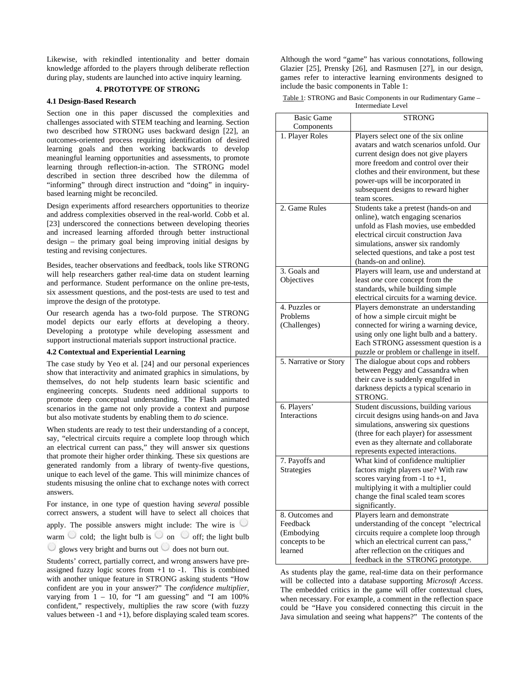Likewise, with rekindled intentionality and better domain knowledge afforded to the players through deliberate reflection during play, students are launched into active inquiry learning.

### **4. PROTOTYPE OF STRONG**

### **4.1 Design-Based Research**

Section one in this paper discussed the complexities and challenges associated with STEM teaching and learning. Section two described how STRONG uses backward design [22], an outcomes-oriented process requiring identification of desired learning goals and then working backwards to develop meaningful learning opportunities and assessments, to promote learning through reflection-in-action. The STRONG model described in section three described how the dilemma of "informing" through direct instruction and "doing" in inquirybased learning might be reconciled.

Design experiments afford researchers opportunities to theorize and address complexities observed in the real-world. Cobb et al. [23] underscored the connections between developing theories and increased learning afforded through better instructional design – the primary goal being improving initial designs by testing and revising conjectures.

Besides, teacher observations and feedback, tools like STRONG will help researchers gather real-time data on student learning and performance. Student performance on the online pre-tests, six assessment questions, and the post-tests are used to test and improve the design of the prototype.

Our research agenda has a two-fold purpose. The STRONG model depicts our early efforts at developing a theory. Developing a prototype while developing assessment and support instructional materials support instructional practice.

#### **4.2 Contextual and Experiential Learning**

The case study by Yeo et al. [24] and our personal experiences show that interactivity and animated graphics in simulations, by themselves, do not help students learn basic scientific and engineering concepts. Students need additional supports to promote deep conceptual understanding. The Flash animated scenarios in the game not only provide a context and purpose but also motivate students by enabling them to *do* science.

When students are ready to test their understanding of a concept, say, "electrical circuits require a complete loop through which an electrical current can pass," they will answer six questions that promote their higher order thinking. These six questions are generated randomly from a library of twenty-five questions, unique to each level of the game. This will minimize chances of students misusing the online chat to exchange notes with correct answers.

For instance, in one type of question having *several* possible correct answers, a student will have to select all choices that apply. The possible answers might include: The wire is  $\heartsuit$ warm cold; the light bulb is  $\circ$  on  $\circ$  off; the light bulb glows very bright and burns out  $\cup$  does not burn out.

Students' correct, partially correct, and wrong answers have preassigned fuzzy logic scores from  $+1$  to  $-1$ . This is combined with another unique feature in STRONG asking students "How confident are you in your answer?" The *confidence multiplier*, varying from  $1 - 10$ , for "I am guessing" and "I am  $100\%$ confident," respectively, multiplies the raw score (with fuzzy values between -1 and +1), before displaying scaled team scores. Although the word "game" has various connotations, following Glazier [25], Prensky [26], and Rasmusen [27], in our design, games refer to interactive learning environments designed to include the basic components in Table 1:

| Table 1: STRONG and Basic Components in our Rudimentary Game – |
|----------------------------------------------------------------|
| Intermediate Level                                             |

| <b>Basic Game</b><br>Components | <b>STRONG</b>                             |
|---------------------------------|-------------------------------------------|
| 1. Player Roles                 | Players select one of the six online      |
|                                 | avatars and watch scenarios unfold. Our   |
|                                 | current design does not give players      |
|                                 | more freedom and control over their       |
|                                 | clothes and their environment, but these  |
|                                 | power-ups will be incorporated in         |
|                                 | subsequent designs to reward higher       |
|                                 | team scores.                              |
| 2. Game Rules                   | Students take a pretest (hands-on and     |
|                                 | online), watch engaging scenarios         |
|                                 | unfold as Flash movies, use embedded      |
|                                 | electrical circuit construction Java      |
|                                 | simulations, answer six randomly          |
|                                 | selected questions, and take a post test  |
|                                 | (hands-on and online).                    |
| 3. Goals and                    | Players will learn, use and understand at |
| Objectives                      | least one core concept from the           |
|                                 | standards, while building simple          |
|                                 | electrical circuits for a warning device. |
| 4. Puzzles or                   | Players demonstrate an understanding      |
| Problems                        |                                           |
|                                 | of how a simple circuit might be          |
| (Challenges)                    | connected for wiring a warning device,    |
|                                 | using only one light bulb and a battery.  |
|                                 | Each STRONG assessment question is a      |
|                                 | puzzle or problem or challenge in itself. |
| 5. Narrative or Story           | The dialogue about cops and robbers       |
|                                 | between Peggy and Cassandra when          |
|                                 | their cave is suddenly engulfed in        |
|                                 | darkness depicts a typical scenario in    |
|                                 | STRONG.                                   |
| 6. Players'                     | Student discussions, building various     |
| <b>Interactions</b>             | circuit designs using hands-on and Java   |
|                                 | simulations, answering six questions      |
|                                 | (three for each player) for assessment    |
|                                 | even as they alternate and collaborate    |
|                                 | represents expected interactions.         |
| 7. Payoffs and                  | What kind of confidence multiplier        |
| Strategies                      | factors might players use? With raw       |
|                                 | scores varying from $-1$ to $+1$ ,        |
|                                 | multiplying it with a multiplier could    |
|                                 | change the final scaled team scores       |
|                                 | significantly.                            |
| 8. Outcomes and                 | Players learn and demonstrate             |
| Feedback                        | understanding of the concept "electrical  |
| (Embodying                      | circuits require a complete loop through  |
| concepts to be                  | which an electrical current can pass,"    |
| learned                         | after reflection on the critiques and     |
|                                 | feedback in the STRONG prototype.         |
|                                 |                                           |

As students play the game, real-time data on their performance will be collected into a database supporting *Microsoft Access*. The embedded critics in the game will offer contextual clues, when necessary. For example, a comment in the reflection space could be "Have you considered connecting this circuit in the Java simulation and seeing what happens?" The contents of the